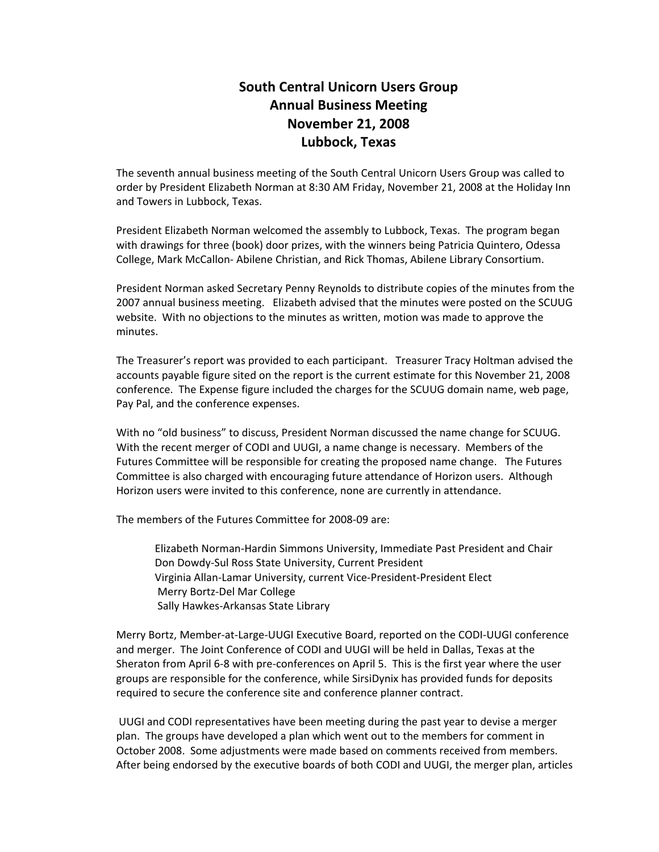## **South Central Unicorn Users Group Annual Business Meeting November 21, 2008 Lubbock, Texas**

The seventh annual business meeting of the South Central Unicorn Users Group was called to order by President Elizabeth Norman at 8:30 AM Friday, November 21, 2008 at the Holiday Inn and Towers in Lubbock, Texas.

President Elizabeth Norman welcomed the assembly to Lubbock, Texas. The program began with drawings for three (book) door prizes, with the winners being Patricia Quintero, Odessa College, Mark McCallon- Abilene Christian, and Rick Thomas, Abilene Library Consortium.

President Norman asked Secretary Penny Reynolds to distribute copies of the minutes from the 2007 annual business meeting. Elizabeth advised that the minutes were posted on the SCUUG website. With no objections to the minutes as written, motion was made to approve the minutes.

The Treasurer's report was provided to each participant. Treasurer Tracy Holtman advised the accounts payable figure sited on the report is the current estimate for this November 21, 2008 conference. The Expense figure included the charges for the SCUUG domain name, web page, Pay Pal, and the conference expenses.

With no "old business" to discuss, President Norman discussed the name change for SCUUG. With the recent merger of CODI and UUGI, a name change is necessary. Members of the Futures Committee will be responsible for creating the proposed name change. The Futures Committee is also charged with encouraging future attendance of Horizon users. Although Horizon users were invited to this conference, none are currently in attendance.

The members of the Futures Committee for 2008-09 are:

Elizabeth Norman-Hardin Simmons University, Immediate Past President and Chair Don Dowdy-Sul Ross State University, Current President Virginia Allan-Lamar University, current Vice-President-President Elect Merry Bortz-Del Mar College Sally Hawkes-Arkansas State Library

Merry Bortz, Member-at-Large-UUGI Executive Board, reported on the CODI-UUGI conference and merger. The Joint Conference of CODI and UUGI will be held in Dallas, Texas at the Sheraton from April 6-8 with pre-conferences on April 5. This is the first year where the user groups are responsible for the conference, while SirsiDynix has provided funds for deposits required to secure the conference site and conference planner contract.

 UUGI and CODI representatives have been meeting during the past year to devise a merger plan. The groups have developed a plan which went out to the members for comment in October 2008. Some adjustments were made based on comments received from members. After being endorsed by the executive boards of both CODI and UUGI, the merger plan, articles